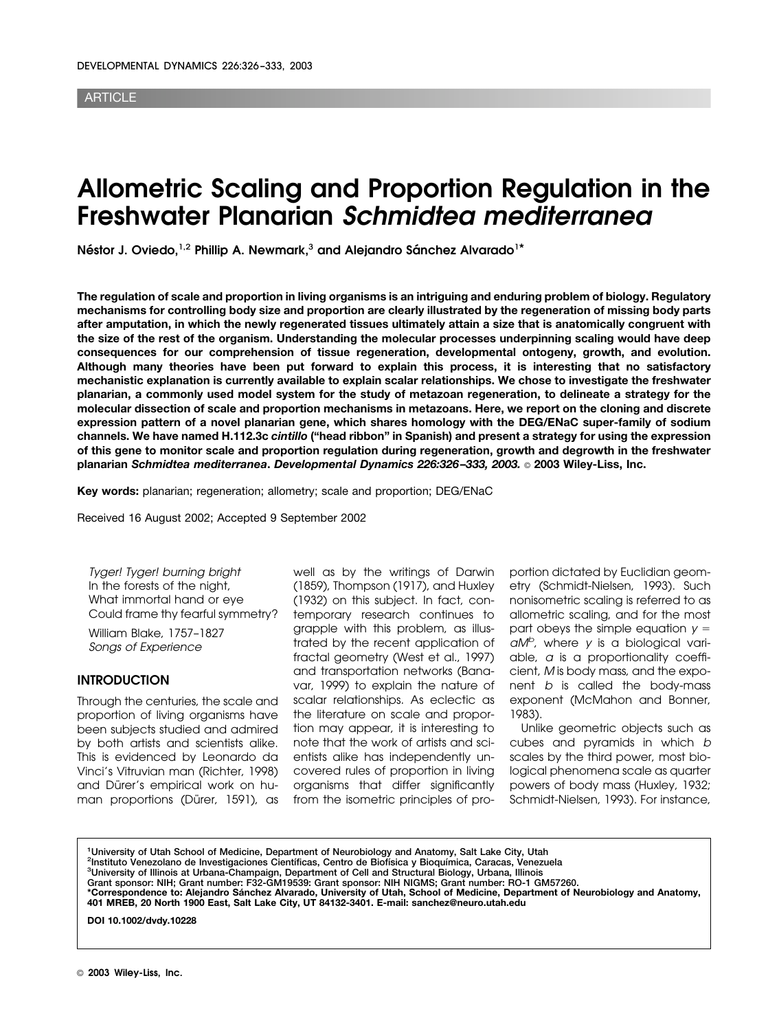#### **ARTICLE**

# **Allometric Scaling and Proportion Regulation in the Freshwater Planarian** *Schmidtea mediterranea*

Néstor J. Oviedo,<sup>1,2</sup> Phillip A. Newmark,<sup>3</sup> and Alejandro Sánchez Alvarado<sup>1\*</sup>

**The regulation of scale and proportion in living organisms is an intriguing and enduring problem of biology. Regulatory mechanisms for controlling body size and proportion are clearly illustrated by the regeneration of missing body parts after amputation, in which the newly regenerated tissues ultimately attain a size that is anatomically congruent with the size of the rest of the organism. Understanding the molecular processes underpinning scaling would have deep consequences for our comprehension of tissue regeneration, developmental ontogeny, growth, and evolution. Although many theories have been put forward to explain this process, it is interesting that no satisfactory mechanistic explanation is currently available to explain scalar relationships. We chose to investigate the freshwater planarian, a commonly used model system for the study of metazoan regeneration, to delineate a strategy for the molecular dissection of scale and proportion mechanisms in metazoans. Here, we report on the cloning and discrete expression pattern of a novel planarian gene, which shares homology with the DEG/ENaC super-family of sodium channels. We have named H.112.3c** *cintillo* **("head ribbon" in Spanish) and present a strategy for using the expression of this gene to monitor scale and proportion regulation during regeneration, growth and degrowth in the freshwater planarian** *Schmidtea mediterranea***.** *Developmental Dynamics 226:326 –333, 2003.* © **2003 Wiley-Liss, Inc.**

**Key words:** planarian; regeneration; allometry; scale and proportion; DEG/ENaC

Received 16 August 2002; Accepted 9 September 2002

Tyger! Tyger! burning bright In the forests of the night, What immortal hand or eye Could frame thy fearful symmetry?

William Blake, 1757–1827 Songs of Experience

#### **INTRODUCTION**

Through the centuries, the scale and proportion of living organisms have been subjects studied and admired by both artists and scientists alike. This is evidenced by Leonardo da Vinci's Vitruvian man (Richter, 1998) and Dürer's empirical work on human proportions (Dürer, 1591), as

well as by the writings of Darwin (1859), Thompson (1917), and Huxley (1932) on this subject. In fact, contemporary research continues to grapple with this problem, as illustrated by the recent application of fractal geometry (West et al., 1997) and transportation networks (Banavar, 1999) to explain the nature of scalar relationships. As eclectic as the literature on scale and proportion may appear, it is interesting to note that the work of artists and scientists alike has independently uncovered rules of proportion in living organisms that differ significantly from the isometric principles of proportion dictated by Euclidian geometry (Schmidt-Nielsen, 1993). Such nonisometric scaling is referred to as allometric scaling, and for the most part obeys the simple equation  $y =$  $aM^b$ , where y is a biological variable, a is a proportionality coefficient, M is body mass, and the exponent b is called the body-mass exponent (McMahon and Bonner, 1983).

Unlike geometric objects such as cubes and pyramids in which b scales by the third power, most biological phenomena scale as quarter powers of body mass (Huxley, 1932; Schmidt-Nielsen, 1993). For instance,

**1 University of Utah School of Medicine, Department of Neurobiology and Anatomy, Salt Lake City, Utah** <sup>2</sup> Instituto Venezolano de Investigaciones Científicas, Centro de Biofísica y Bioquímica, Caracas, Venezuela **3 University of Illinois at Urbana-Champaign, Department of Cell and Structural Biology, Urbana, Illinois Grant sponsor: NIH; Grant number: F32-GM19539: Grant sponsor: NIH NIGMS; Grant number: RO-1 GM57260.** \*Correspondence to: Alejandro Sánchez Alvarado, University of Utah, School of Medicine, Department of Neurobiology and Anatomy,<br>401 MREB, 20 North 1900 East, Salt Lake City, UT 84132-3401. E-mail: sanchez@neuro.utah.edu **DOI 10.1002/dvdy.10228**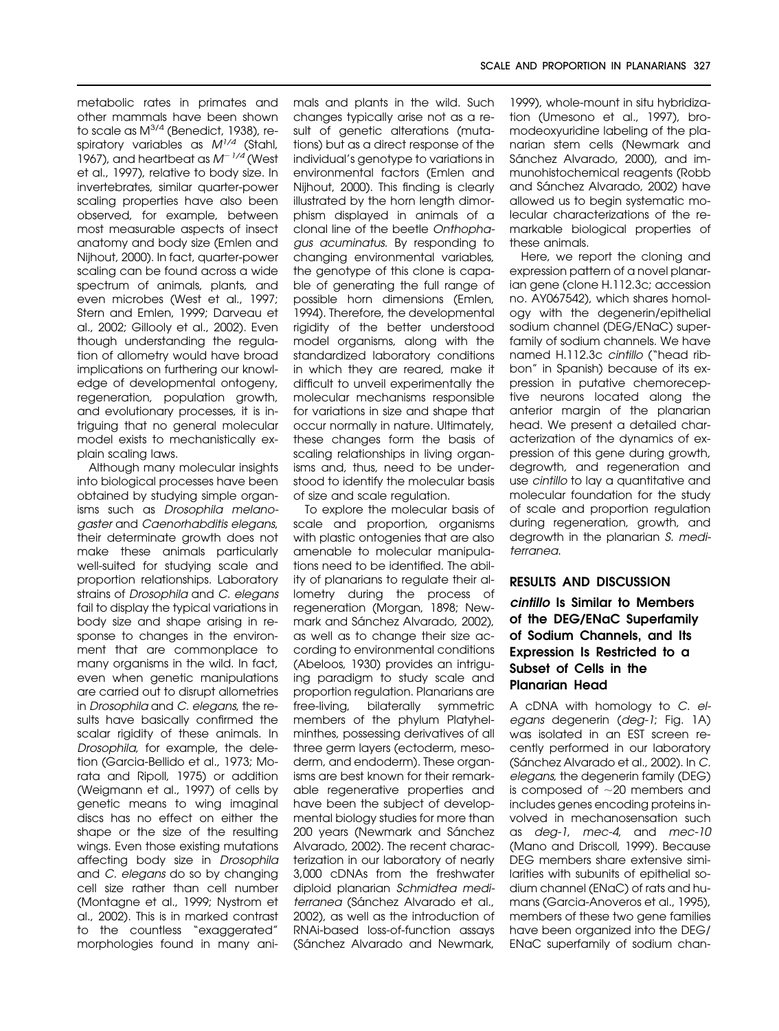metabolic rates in primates and other mammals have been shown to scale as M<sup>3/4</sup> (Benedict, 1938), respiratory variables as  $M^{1/4}$  (Stahl, 1967), and heartbeat as  $M^{-1/4}$  (West et al., 1997), relative to body size. In invertebrates, similar quarter-power scaling properties have also been observed, for example, between most measurable aspects of insect anatomy and body size (Emlen and Nijhout, 2000). In fact, quarter-power scaling can be found across a wide spectrum of animals, plants, and even microbes (West et al., 1997; Stern and Emlen, 1999; Darveau et al., 2002; Gillooly et al., 2002). Even though understanding the regulation of allometry would have broad implications on furthering our knowledge of developmental ontogeny, regeneration, population growth, and evolutionary processes, it is intriguing that no general molecular model exists to mechanistically explain scaling laws.

Although many molecular insights into biological processes have been obtained by studying simple organisms such as Drosophila melanogaster and Caenorhabditis elegans, their determinate growth does not make these animals particularly well-suited for studying scale and proportion relationships. Laboratory strains of Drosophila and C. elegans fail to display the typical variations in body size and shape arising in response to changes in the environment that are commonplace to many organisms in the wild. In fact, even when genetic manipulations are carried out to disrupt allometries in Drosophila and C. elegans, the results have basically confirmed the scalar rigidity of these animals. In Drosophila, for example, the deletion (Garcia-Bellido et al., 1973; Morata and Ripoll, 1975) or addition (Weigmann et al., 1997) of cells by genetic means to wing imaginal discs has no effect on either the shape or the size of the resulting wings. Even those existing mutations affecting body size in Drosophila and C. elegans do so by changing cell size rather than cell number (Montagne et al., 1999; Nystrom et al., 2002). This is in marked contrast to the countless "exaggerated" morphologies found in many ani-

mals and plants in the wild. Such changes typically arise not as a result of genetic alterations (mutations) but as a direct response of the individual's genotype to variations in environmental factors (Emlen and Nijhout, 2000). This finding is clearly illustrated by the horn length dimorphism displayed in animals of a clonal line of the beetle Onthophagus acuminatus. By responding to changing environmental variables, the genotype of this clone is capable of generating the full range of possible horn dimensions (Emlen, 1994). Therefore, the developmental rigidity of the better understood model organisms, along with the standardized laboratory conditions in which they are reared, make it difficult to unveil experimentally the molecular mechanisms responsible for variations in size and shape that occur normally in nature. Ultimately, these changes form the basis of scaling relationships in living organisms and, thus, need to be understood to identify the molecular basis of size and scale regulation.

To explore the molecular basis of scale and proportion, organisms with plastic ontogenies that are also amenable to molecular manipulations need to be identified. The ability of planarians to regulate their allometry during the process of regeneration (Morgan, 1898; Newmark and Sánchez Alvarado, 2002), as well as to change their size according to environmental conditions (Abeloos, 1930) provides an intriguing paradigm to study scale and proportion regulation. Planarians are free-living, bilaterally symmetric members of the phylum Platyhelminthes, possessing derivatives of all three germ layers (ectoderm, mesoderm, and endoderm). These organisms are best known for their remarkable regenerative properties and have been the subject of developmental biology studies for more than 200 years (Newmark and Sánchez Alvarado, 2002). The recent characterization in our laboratory of nearly 3,000 cDNAs from the freshwater diploid planarian Schmidtea mediterranea (Sánchez Alvarado et al., 2002), as well as the introduction of RNAi-based loss-of-function assays (Sánchez Alvarado and Newmark,

1999), whole-mount in situ hybridization (Umesono et al., 1997), bromodeoxyuridine labeling of the planarian stem cells (Newmark and Sánchez Alvarado, 2000), and immunohistochemical reagents (Robb and Sánchez Alvarado, 2002) have allowed us to begin systematic molecular characterizations of the remarkable biological properties of these animals.

Here, we report the cloning and expression pattern of a novel planarian gene (clone H.112.3c; accession no. AY067542), which shares homology with the degenerin/epithelial sodium channel (DEG/ENaC) superfamily of sodium channels. We have named H.112.3c cintillo ("head ribbon" in Spanish) because of its expression in putative chemoreceptive neurons located along the anterior margin of the planarian head. We present a detailed characterization of the dynamics of expression of this gene during growth, degrowth, and regeneration and use cintillo to lay a quantitative and molecular foundation for the study of scale and proportion regulation during regeneration, growth, and degrowth in the planarian S. mediterranea.

# **RESULTS AND DISCUSSION**

# *cintillo* **Is Similar to Members of the DEG/ENaC Superfamily of Sodium Channels, and Its Expression Is Restricted to a Subset of Cells in the Planarian Head**

A cDNA with homology to C. elegans degenerin (deg-1; Fig. 1A) was isolated in an EST screen recently performed in our laboratory (Sánchez Alvarado et al., 2002). In C. elegans, the degenerin family (DEG) is composed of  $\sim$ 20 members and includes genes encoding proteins involved in mechanosensation such as deg-1, mec-4, and mec-10 (Mano and Driscoll, 1999). Because DEG members share extensive similarities with subunits of epithelial sodium channel (ENaC) of rats and humans (Garcia-Anoveros et al., 1995), members of these two gene families have been organized into the DEG/ ENaC superfamily of sodium chan-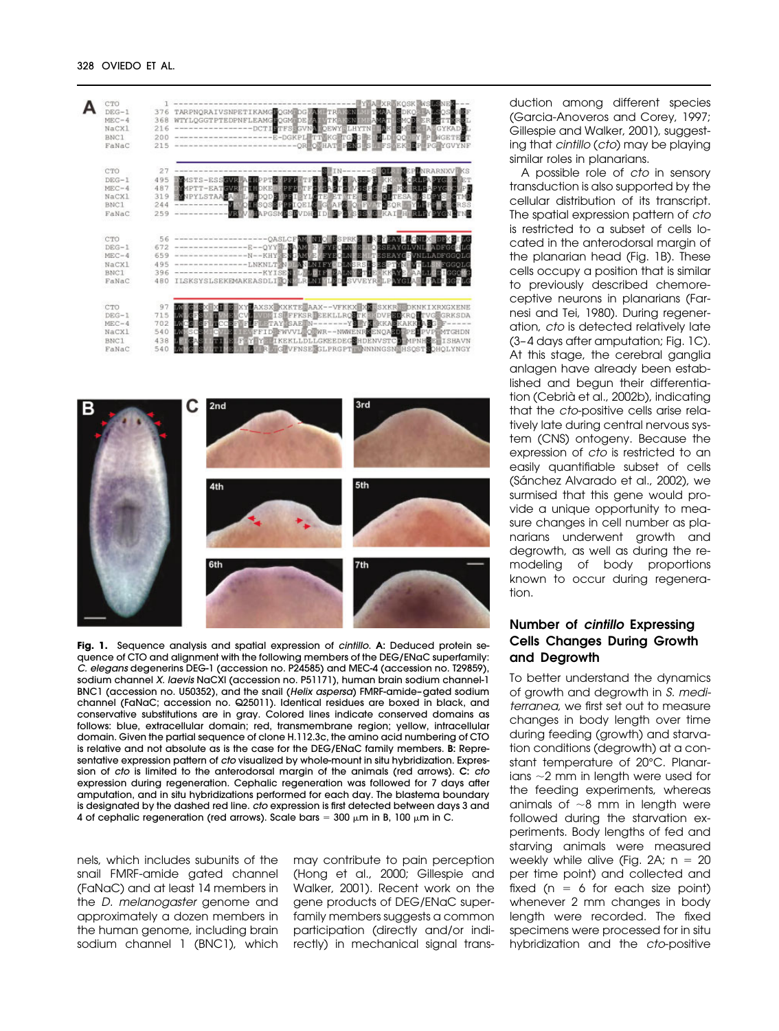| CTO<br>$DEG-1$<br>$MEC-4$<br>NaCX1<br>BNC1<br>FaNaC | 376<br>368<br>216<br>200<br>215       | <b>D.S.K.</b><br><b>TARPNORAIVSNPETIKAMGDOGMIDGWA</b><br>TRE<br><b>DPNFLEAMGROGMIDE MA</b><br>TKE<br>ारा<br>MEA ORT<br>WTYLOGGTPTE<br>面包区<br><b>STFSSCVNA DEWYELHYTN</b><br>图相同<br>ACGYKAD<br>E-DGKPLETTEKGETGEGE<br><b>DLDIQQBEY P WGETEDT</b><br>-OREOCHATEPENGES FRAGEKEEP PG YGVYNF                         |
|-----------------------------------------------------|---------------------------------------|-----------------------------------------------------------------------------------------------------------------------------------------------------------------------------------------------------------------------------------------------------------------------------------------------------------------|
| CTO<br>$DEG-1$<br>$MEC-4$<br>NaCX1<br>BNC1<br>FaNaC | 27<br>495<br>487<br>319<br>244<br>259 | NRARNXV<br><b>個KS</b><br><b>MASTS-ESSEMB</b><br>RLPDPYCD<br>MPTT-EATEWR<br>IHDKEDOPFP<br>ŒΕ<br>NPYLSTAACA<br><b>OLTE</b><br><b>EYLETE ETERS</b><br>SA<br>EY SI<br>DOD B<br>圓<br>QUISQSBPREIQELSEGWAPS<br><b>OILFT</b><br><b>BAPGSMESEVDHEID</b><br><b>BURSY</b>                                                 |
| CTO<br>$DEG-1$<br>$MEC-4$<br>NaCX1<br>BNC1<br>FaNaC | 56<br>672<br>659<br>495<br>396<br>480 | -QASLCF <b>AN</b><br>ЬG<br>E--OYYEL NAME<br>N--KHY RENGE<br><i>SEAYGEVNLLADFGGOLG</i><br>LNI<br><b>SPTYNIVTLLS</b><br>NLT N DIE NIENIE Y<br>LNSRSIS<br>KYISENIL<br><b>LN ENIBEKKAYBEALLERIGGOVC</b><br>LRINI<br>ILSKSYSLSEKEMAKEASDLIRO<br>SVVEYRELPAYG                                                         |
| CTO<br>$DEG-1$<br>$MEC-4$<br>NaCXl<br>BNC1<br>FaNaC | 97<br>715<br>702<br>540<br>438<br>540 | AXSX KXKTERAAX--VFKKX XXX SXKR PDKNKIXRXGXENE<br><b>IS IS FFKSR EEKLLROOTK ISDVPSBKROFTVGEGRKSDA</b><br>FILETAY SAE N-------Y Y Y KKASKAKKIASGEF-<br>FFIDEFWVVLEOEWR--NWWENRKENOADD PELPVPEMTGHDN<br>LM.<br>sc<br>EY YE IKEKLLDLLGKEEDEGEHDENVSTCD MPNHSETISHAVN<br>F<br>GIVFNSE SLPRGPT NNNNGSN HSOST OHOLYNGY |



**Fig. 1.** Sequence analysis and spatial expression of cintillo. **A:** Deduced protein sequence of CTO and alignment with the following members of the DEG/ENaC superfamily: C. elegans degenerins DEG-1 (accession no. P24585) and MEC-4 (accession no. T29859), sodium channel X. laevis NaCXl (accession no. P51171), human brain sodium channel-1 BNC1 (accession no. U50352), and the snail (Helix aspersa) FMRF-amide-gated sodium channel (FaNaC; accession no. Q25011). Identical residues are boxed in black, and conservative substitutions are in gray. Colored lines indicate conserved domains as follows: blue, extracellular domain; red, transmembrane region; yellow, intracellular domain. Given the partial sequence of clone H.112.3c, the amino acid numbering of CTO is relative and not absolute as is the case for the DEG/ENaC family members. **B:** Representative expression pattern of cto visualized by whole-mount in situ hybridization. Expression of cto is limited to the anterodorsal margin of the animals (red arrows). **C:** cto expression during regeneration. Cephalic regeneration was followed for 7 days after amputation, and in situ hybridizations performed for each day. The blastema boundary is designated by the dashed red line. cto expression is first detected between days 3 and 4 of cephalic regeneration (red arrows). Scale bars = 300  $\mu$ m in B, 100  $\mu$ m in C.

nels, which includes subunits of the snail FMRF-amide gated channel (FaNaC) and at least 14 members in the D. melanogaster genome and approximately a dozen members in the human genome, including brain sodium channel 1 (BNC1), which may contribute to pain perception (Hong et al., 2000; Gillespie and Walker, 2001). Recent work on the gene products of DEG/ENaC superfamily members suggests a common participation (directly and/or indirectly) in mechanical signal transduction among different species (Garcia-Anoveros and Corey, 1997; Gillespie and Walker, 2001), suggesting that cintillo (cto) may be playing similar roles in planarians.

A possible role of cto in sensory transduction is also supported by the cellular distribution of its transcript. The spatial expression pattern of cto is restricted to a subset of cells located in the anterodorsal margin of the planarian head (Fig. 1B). These cells occupy a position that is similar to previously described chemoreceptive neurons in planarians (Farnesi and Tei, 1980). During regeneration, cto is detected relatively late (3– 4 days after amputation; Fig. 1C). At this stage, the cerebral ganglia anlagen have already been established and begun their differentiation (Cebrià et al., 2002b), indicating that the cto-positive cells arise relatively late during central nervous system (CNS) ontogeny. Because the expression of cto is restricted to an easily quantifiable subset of cells (Sánchez Alvarado et al., 2002), we surmised that this gene would provide a unique opportunity to measure changes in cell number as planarians underwent growth and degrowth, as well as during the remodeling of body proportions known to occur during regeneration.

# **Number of** *cintillo* **Expressing Cells Changes During Growth and Degrowth**

To better understand the dynamics of growth and degrowth in S. mediterranea, we first set out to measure changes in body length over time during feeding (growth) and starvation conditions (degrowth) at a constant temperature of 20°C. Planarians  $\sim$ 2 mm in length were used for the feeding experiments, whereas animals of  $\sim$ 8 mm in length were followed during the starvation experiments. Body lengths of fed and starving animals were measured weekly while alive (Fig. 2A;  $n = 20$ per time point) and collected and fixed ( $n = 6$  for each size point) whenever 2 mm changes in body length were recorded. The fixed specimens were processed for in situ hybridization and the cto-positive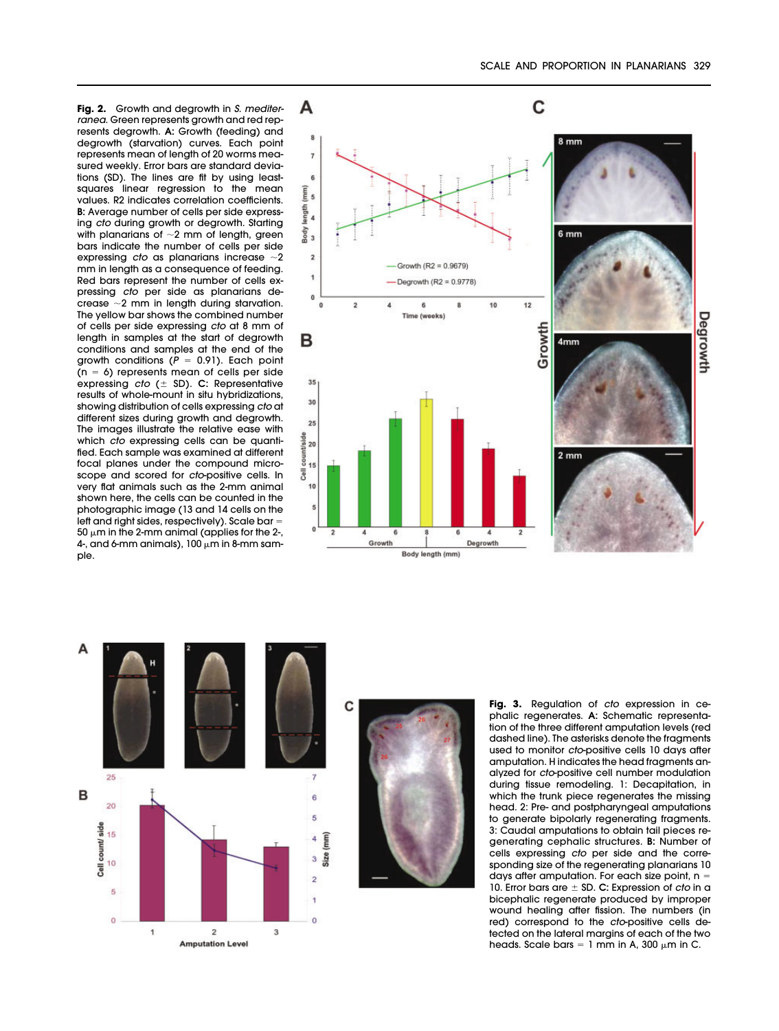**Fig. 2.** Growth and degrowth in S. mediterranea. Green represents growth and red represents degrowth. **A:** Growth (feeding) and degrowth (starvation) curves. Each point represents mean of length of 20 worms measured weekly. Error bars are standard deviations (SD). The lines are fit by using leastsquares linear regression to the mean values. R2 indicates correlation coefficients. **B:** Average number of cells per side expressing cto during growth or degrowth. Starting with planarians of  $\sim$ 2 mm of length, green bars indicate the number of cells per side expressing  $cto$  as planarians increase  $\sim$ 2 mm in length as a consequence of feeding. Red bars represent the number of cells expressing cto per side as planarians decrease  $\sim$ 2 mm in length during starvation. The yellow bar shows the combined number of cells per side expressing cto at 8 mm of length in samples at the start of degrowth conditions and samples at the end of the growth conditions ( $P = 0.91$ ). Each point  $(n = 6)$  represents mean of cells per side expressing cto ( $\pm$  SD). C: Representative results of whole-mount in situ hybridizations, showing distribution of cells expressing cto at different sizes during growth and degrowth. The images illustrate the relative ease with which cto expressing cells can be quantified. Each sample was examined at different focal planes under the compound microscope and scored for cto-positive cells. In very flat animals such as the 2-mm animal shown here, the cells can be counted in the photographic image (13 and 14 cells on the left and right sides, respectively). Scale bar 50  $\mu$ m in the 2-mm animal (applies for the 2-, 4-, and 6-mm animals),  $100 \mu m$  in 8-mm sample.







Fig. 3. Regulation of cto expression in cephalic regenerates. **A:** Schematic representation of the three different amputation levels (red dashed line). The asterisks denote the fragments used to monitor cto-positive cells 10 days after amputation. H indicates the head fragments analyzed for cto-positive cell number modulation during tissue remodeling. 1: Decapitation, in which the trunk piece regenerates the missing head. 2: Pre- and postpharyngeal amputations to generate bipolarly regenerating fragments. 3: Caudal amputations to obtain tail pieces regenerating cephalic structures. **B:** Number of cells expressing cto per side and the corresponding size of the regenerating planarians 10 days after amputation. For each size point,  $n =$ 10. Error bars are  $\pm$  SD. C: Expression of *cto* in a bicephalic regenerate produced by improper wound healing after fission. The numbers (in red) correspond to the cto-positive cells detected on the lateral margins of each of the two heads. Scale bars = 1 mm in A, 300  $\mu$ m in C.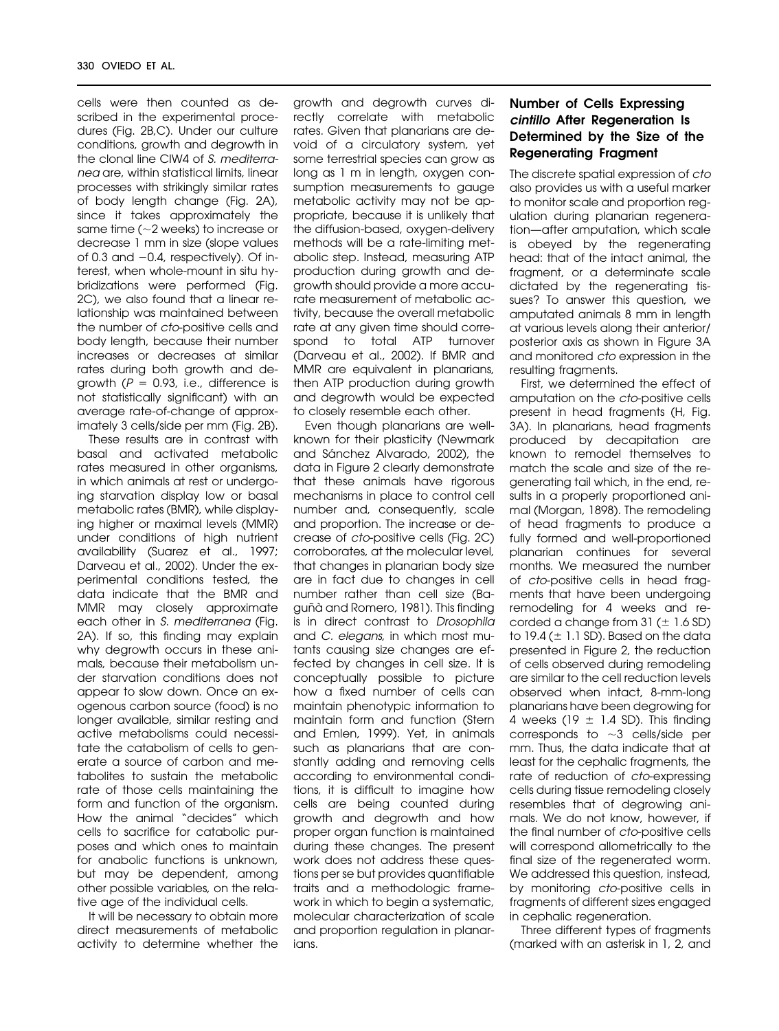cells were then counted as described in the experimental procedures (Fig. 2B,C). Under our culture conditions, growth and degrowth in the clonal line CIW4 of S. mediterranea are, within statistical limits, linear processes with strikingly similar rates of body length change (Fig. 2A), since it takes approximately the same time ( $\sim$ 2 weeks) to increase or decrease 1 mm in size (slope values of 0.3 and -0.4, respectively). Of interest, when whole-mount in situ hybridizations were performed (Fig. 2C), we also found that a linear relationship was maintained between the number of cto-positive cells and body length, because their number increases or decreases at similar rates during both growth and degrowth  $(P = 0.93, i.e.,$  difference is not statistically significant) with an average rate-of-change of approximately 3 cells/side per mm (Fig. 2B).

These results are in contrast with basal and activated metabolic rates measured in other organisms, in which animals at rest or undergoing starvation display low or basal metabolic rates (BMR), while displaying higher or maximal levels (MMR) under conditions of high nutrient availability (Suarez et al., 1997; Darveau et al., 2002). Under the experimental conditions tested, the data indicate that the BMR and MMR may closely approximate each other in S. mediterranea (Fig. 2A). If so, this finding may explain why degrowth occurs in these animals, because their metabolism under starvation conditions does not appear to slow down. Once an exogenous carbon source (food) is no longer available, similar resting and active metabolisms could necessitate the catabolism of cells to generate a source of carbon and metabolites to sustain the metabolic rate of those cells maintaining the form and function of the organism. How the animal "decides" which cells to sacrifice for catabolic purposes and which ones to maintain for anabolic functions is unknown, but may be dependent, among other possible variables, on the relative age of the individual cells.

It will be necessary to obtain more direct measurements of metabolic activity to determine whether the growth and degrowth curves directly correlate with metabolic rates. Given that planarians are devoid of a circulatory system, yet some terrestrial species can grow as long as 1 m in length, oxygen consumption measurements to gauge metabolic activity may not be appropriate, because it is unlikely that the diffusion-based, oxygen-delivery methods will be a rate-limiting metabolic step. Instead, measuring ATP production during growth and degrowth should provide a more accurate measurement of metabolic activity, because the overall metabolic rate at any given time should correspond to total ATP turnover (Darveau et al., 2002). If BMR and MMR are equivalent in planarians, then ATP production during growth and degrowth would be expected to closely resemble each other.

Even though planarians are wellknown for their plasticity (Newmark and Sánchez Alvarado, 2002), the data in Figure 2 clearly demonstrate that these animals have rigorous mechanisms in place to control cell number and, consequently, scale and proportion. The increase or decrease of cto-positive cells (Fig. 2C) corroborates, at the molecular level, that changes in planarian body size are in fact due to changes in cell number rather than cell size (Baguñà and Romero, 1981). This finding is in direct contrast to Drosophila and C. elegans, in which most mutants causing size changes are effected by changes in cell size. It is conceptually possible to picture how a fixed number of cells can maintain phenotypic information to maintain form and function (Stern and Emlen, 1999). Yet, in animals such as planarians that are constantly adding and removing cells according to environmental conditions, it is difficult to imagine how cells are being counted during growth and degrowth and how proper organ function is maintained during these changes. The present work does not address these questions per se but provides quantifiable traits and a methodologic framework in which to begin a systematic, molecular characterization of scale and proportion regulation in planarians.

# **Number of Cells Expressing** *cintillo* **After Regeneration Is Determined by the Size of the Regenerating Fragment**

The discrete spatial expression of cto also provides us with a useful marker to monitor scale and proportion regulation during planarian regeneration—after amputation, which scale is obeyed by the regenerating head: that of the intact animal, the fragment, or a determinate scale dictated by the regenerating tissues? To answer this question, we amputated animals 8 mm in length at various levels along their anterior/ posterior axis as shown in Figure 3A and monitored cto expression in the resulting fragments.

First, we determined the effect of amputation on the cto-positive cells present in head fragments (H, Fig. 3A). In planarians, head fragments produced by decapitation are known to remodel themselves to match the scale and size of the regenerating tail which, in the end, results in a properly proportioned animal (Morgan, 1898). The remodeling of head fragments to produce a fully formed and well-proportioned planarian continues for several months. We measured the number of cto-positive cells in head fragments that have been undergoing remodeling for 4 weeks and recorded a change from 31 ( $\pm$  1.6 SD) to 19.4 ( $\pm$  1.1 SD). Based on the data presented in Figure 2, the reduction of cells observed during remodeling are similar to the cell reduction levels observed when intact, 8-mm-long planarians have been degrowing for 4 weeks (19  $\pm$  1.4 SD). This finding corresponds to  $\sim$ 3 cells/side per mm. Thus, the data indicate that at least for the cephalic fragments, the rate of reduction of cto-expressing cells during tissue remodeling closely resembles that of degrowing animals. We do not know, however, if the final number of cto-positive cells will correspond allometrically to the final size of the regenerated worm. We addressed this question, instead, by monitoring cto-positive cells in fragments of different sizes engaged in cephalic regeneration.

Three different types of fragments (marked with an asterisk in 1, 2, and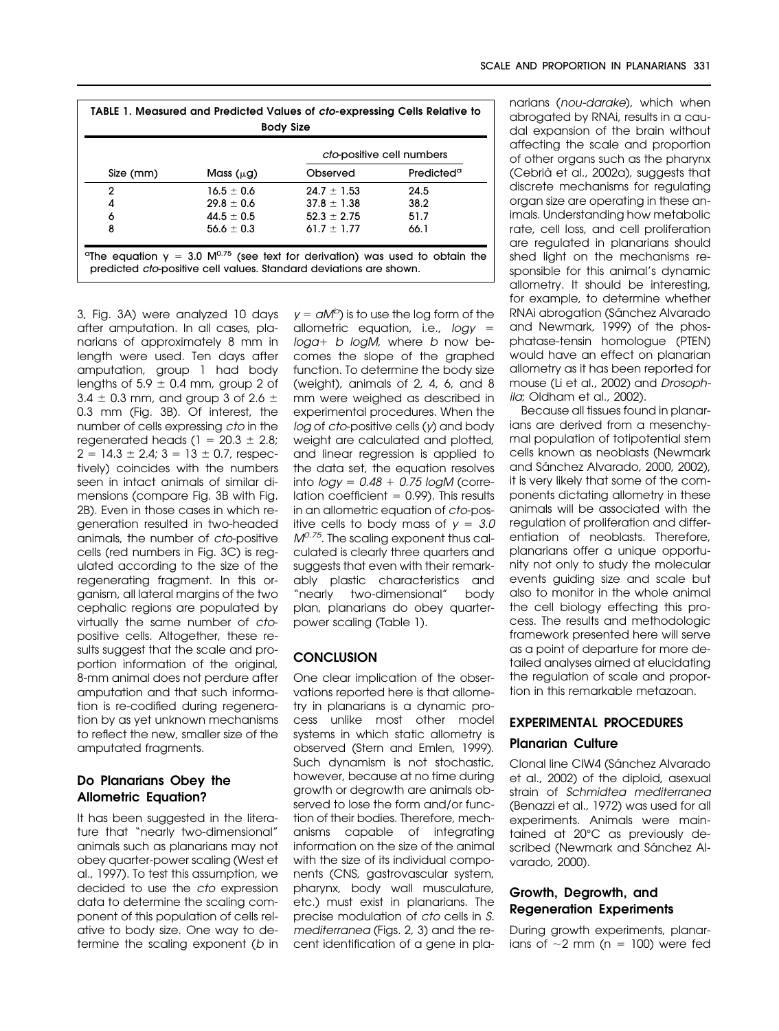| TABLE 1. Measured and Predicted Values of cto-expressing Cells Relative to<br><b>Body Size</b> |                |                                                                                                                                                                                       |                        |  |  |  |
|------------------------------------------------------------------------------------------------|----------------|---------------------------------------------------------------------------------------------------------------------------------------------------------------------------------------|------------------------|--|--|--|
|                                                                                                |                | cto-positive cell numbers                                                                                                                                                             |                        |  |  |  |
| Size (mm)                                                                                      | Mass $(\mu g)$ | Observed                                                                                                                                                                              | Predicted <sup>a</sup> |  |  |  |
| 2                                                                                              | $16.5 + 0.6$   | $24.7 + 1.53$                                                                                                                                                                         | 24.5                   |  |  |  |
| 4                                                                                              | $29.8 + 0.6$   | $37.8 \pm 1.38$                                                                                                                                                                       | 38.2                   |  |  |  |
| 6                                                                                              | $44.5 + 0.5$   | $52.3 + 2.75$                                                                                                                                                                         | 51.7                   |  |  |  |
| 8                                                                                              | $56.6 + 0.3$   | $61.7 + 1.77$                                                                                                                                                                         | 66.1                   |  |  |  |
|                                                                                                |                | <sup>a</sup> The equation $y = 3.0 \, \text{M}^{0.75}$ (see text for derivation) was used to obtain the<br>predicted <i>cto</i> -positive cell values. Standard deviations are shown. |                        |  |  |  |

3, Fig. 3A) were analyzed 10 days after amputation. In all cases, planarians of approximately 8 mm in length were used. Ten days after amputation, group 1 had body lengths of  $5.9 \pm 0.4$  mm, group 2 of  $3.4 \pm 0.3$  mm, and group 3 of 2.6  $\pm$ 0.3 mm (Fig. 3B). Of interest, the number of cells expressing cto in the regenerated heads ( $1 = 20.3 \pm 2.8$ ;  $2 = 14.3 \pm 2.4$ ;  $3 = 13 \pm 0.7$ , respectively) coincides with the numbers seen in intact animals of similar dimensions (compare Fig. 3B with Fig. 2B). Even in those cases in which regeneration resulted in two-headed animals, the number of cto-positive cells (red numbers in Fig. 3C) is regulated according to the size of the regenerating fragment. In this organism, all lateral margins of the two cephalic regions are populated by virtually the same number of ctopositive cells. Altogether, these results suggest that the scale and proportion information of the original, 8-mm animal does not perdure after amputation and that such information is re-codified during regeneration by as yet unknown mechanisms to reflect the new, smaller size of the amputated fragments.

# **Do Planarians Obey the Allometric Equation?**

It has been suggested in the literature that "nearly two-dimensional" animals such as planarians may not obey quarter-power scaling (West et al., 1997). To test this assumption, we decided to use the cto expression data to determine the scaling component of this population of cells relative to body size. One way to determine the scaling exponent (b in

 $y = aM^b$ ) is to use the log form of the allometric equation, i.e.,  $logy =$  $log a + b$  logM, where b now becomes the slope of the graphed function. To determine the body size (weight), animals of 2, 4, 6, and 8 mm were weighed as described in experimental procedures. When the log of cto-positive cells (v) and body weight are calculated and plotted, and linear regression is applied to the data set, the equation resolves into  $logy = 0.48 + 0.75 logM$  (correlation coefficient  $= 0.99$ ). This results in an allometric equation of cto-positive cells to body mass of  $y = 3.0$  $M^{0.75}$ . The scaling exponent thus calculated is clearly three quarters and suggests that even with their remarkably plastic characteristics and "nearly two-dimensional" body plan, planarians do obey quarterpower scaling (Table 1).

# **CONCLUSION**

One clear implication of the observations reported here is that allometry in planarians is a dynamic process unlike most other model systems in which static allometry is observed (Stern and Emlen, 1999). Such dynamism is not stochastic, however, because at no time during growth or degrowth are animals observed to lose the form and/or function of their bodies. Therefore, mechanisms capable of integrating information on the size of the animal with the size of its individual components (CNS, gastrovascular system, pharynx, body wall musculature, etc.) must exist in planarians. The precise modulation of cto cells in S. mediterranea (Figs. 2, 3) and the recent identification of a gene in planarians (nou-darake), which when abrogated by RNAi, results in a caudal expansion of the brain without affecting the scale and proportion of other organs such as the pharynx (Cebrià et al., 2002a), suggests that discrete mechanisms for regulating organ size are operating in these animals. Understanding how metabolic rate, cell loss, and cell proliferation are regulated in planarians should shed light on the mechanisms responsible for this animal's dynamic allometry. It should be interesting, for example, to determine whether RNAi abrogation (Sánchez Alvarado and Newmark, 1999) of the phosphatase-tensin homologue (PTEN) would have an effect on planarian allometry as it has been reported for mouse (Li et al., 2002) and Drosophila; Oldham et al., 2002).

Because all tissues found in planarians are derived from a mesenchymal population of totipotential stem cells known as neoblasts (Newmark and Sánchez Alvarado, 2000, 2002), it is very likely that some of the components dictating allometry in these animals will be associated with the regulation of proliferation and differentiation of neoblasts. Therefore, planarians offer a unique opportunity not only to study the molecular events guiding size and scale but also to monitor in the whole animal the cell biology effecting this process. The results and methodologic framework presented here will serve as a point of departure for more detailed analyses aimed at elucidating the regulation of scale and proportion in this remarkable metazoan.

# **EXPERIMENTAL PROCEDURES Planarian Culture**

Clonal line CIW4 (Sánchez Alvarado et al., 2002) of the diploid, asexual strain of Schmidtea mediterranea (Benazzi et al., 1972) was used for all experiments. Animals were maintained at 20°C as previously described (Newmark and Sánchez Alvarado, 2000).

# **Growth, Degrowth, and Regeneration Experiments**

During growth experiments, planarians of  $\sim$ 2 mm (n = 100) were fed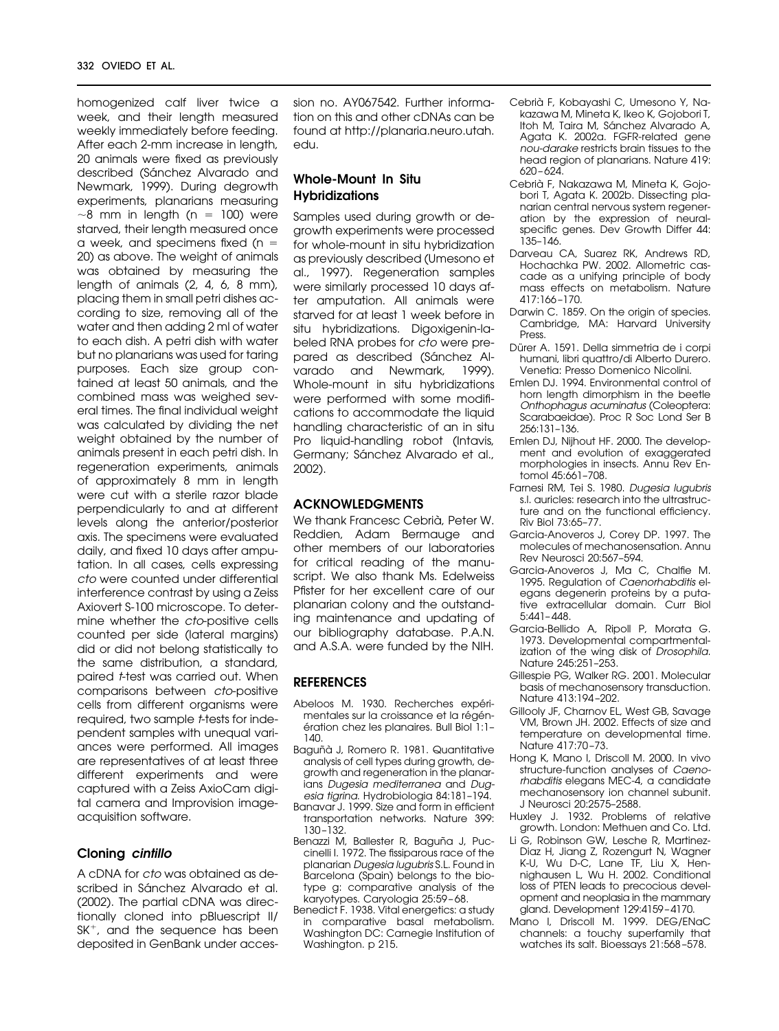homogenized calf liver twice a week, and their length measured weekly immediately before feeding. After each 2-mm increase in length, 20 animals were fixed as previously described (Sánchez Alvarado and Newmark, 1999). During degrowth experiments, planarians measuring  $\sim$ 8 mm in length (n = 100) were starved, their length measured once a week, and specimens fixed ( $n =$ 20) as above. The weight of animals was obtained by measuring the length of animals (2, 4, 6, 8 mm), placing them in small petri dishes according to size, removing all of the water and then adding 2 ml of water to each dish. A petri dish with water but no planarians was used for taring purposes. Each size group contained at least 50 animals, and the combined mass was weighed several times. The final individual weight was calculated by dividing the net weight obtained by the number of animals present in each petri dish. In regeneration experiments, animals of approximately 8 mm in length were cut with a sterile razor blade perpendicularly to and at different levels along the anterior/posterior axis. The specimens were evaluated daily, and fixed 10 days after amputation. In all cases, cells expressing cto were counted under differential interference contrast by using a Zeiss Axiovert S-100 microscope. To determine whether the cto-positive cells counted per side (lateral margins) did or did not belong statistically to the same distribution, a standard, paired *t*-test was carried out. When comparisons between cto-positive cells from different organisms were required, two sample *t*-tests for independent samples with unequal variances were performed. All images are representatives of at least three different experiments and were captured with a Zeiss AxioCam digital camera and Improvision imageacquisition software.

#### **Cloning** *cintillo*

A cDNA for cto was obtained as described in Sánchez Alvarado et al. (2002). The partial cDNA was directionally cloned into pBluescript II/  $SK<sup>+</sup>$ , and the sequence has been deposited in GenBank under accession no. AY067542. Further information on this and other cDNAs can be found at http://planaria.neuro.utah. edu.

# **Whole-Mount In Situ Hybridizations**

Samples used during growth or degrowth experiments were processed for whole-mount in situ hybridization as previously described (Umesono et al., 1997). Regeneration samples were similarly processed 10 days after amputation. All animals were starved for at least 1 week before in situ hybridizations. Digoxigenin-labeled RNA probes for cto were prepared as described (Sánchez Alvarado and Newmark, 1999). Whole-mount in situ hybridizations were performed with some modifications to accommodate the liquid handling characteristic of an in situ Pro liquid-handling robot (Intavis, Germany; Sánchez Alvarado et al., 2002).

# **ACKNOWLEDGMENTS**

We thank Francesc Cebrià, Peter W. Reddien, Adam Bermauge and other members of our laboratories for critical reading of the manuscript. We also thank Ms. Edelweiss Pfister for her excellent care of our planarian colony and the outstanding maintenance and updating of our bibliography database. P.A.N. and A.S.A. were funded by the NIH.

# **REFERENCES**

- Abeloos M. 1930. Recherches expérimentales sur la croissance et la régénération chez les planaires. Bull Biol 1:1-140.
- Baguñà J, Romero R. 1981. Quantitative analysis of cell types during growth, degrowth and regeneration in the planarians Dugesia mediterranea and Dugesia tigrina. Hydrobiologia 84:181–194.
- Banavar J. 1999. Size and form in efficient transportation networks. Nature 399: 130 –132.
- Benazzi M, Ballester R, Baguña J, Puccinelli I. 1972. The fissiparous race of the planarian Dugesia lugubris S.L. Found in Barcelona (Spain) belongs to the biotype g: comparative analysis of the karyotypes. Caryologia 25:59 – 68.
- Benedict F. 1938. Vital energetics: a study in comparative basal metabolism. Washington DC: Carnegie Institution of Washington. p 215.
- Cebria` F, Kobayashi C, Umesono Y, Nakazawa M, Mineta K, Ikeo K, Gojobori T, Itoh M, Taira M, Sánchez Alvarado A, Agata K. 2002a. FGFR-related gene nou-darake restricts brain tissues to the head region of planarians. Nature 419: 620 – 624.
- Cebria` F, Nakazawa M, Mineta K, Gojobori T, Agata K. 2002b. Dissecting planarian central nervous system regeneration by the expression of neuralspecific genes. Dev Growth Differ 44: 135–146.
- Darveau CA, Suarez RK, Andrews RD, Hochachka PW. 2002. Allometric cascade as a unifying principle of body mass effects on metabolism. Nature 417:166 –170.
- Darwin C. 1859. On the origin of species. Cambridge, MA: Harvard University Press.
- Dürer A. 1591. Della simmetria de i corpi humani, libri quattro/di Alberto Durero. Venetia: Presso Domenico Nicolini.
- Emlen DJ. 1994. Environmental control of horn length dimorphism in the beetle Onthophagus acuminatus (Coleoptera: Scarabaeidae). Proc R Soc Lond Ser B 256:131–136.
- Emlen DJ, Nijhout HF. 2000. The development and evolution of exaggerated morphologies in insects. Annu Rev Entomol 45:661–708.
- Farnesi RM, Tei S. 1980. Dugesia lugubris s.l. auricles: research into the ultrastructure and on the functional efficiency. Riv Biol 73:65–77.
- Garcia-Anoveros J, Corey DP. 1997. The molecules of mechanosensation. Annu Rev Neurosci 20:567–594.
- Garcia-Anoveros J, Ma C, Chalfie M. 1995. Regulation of Caenorhabditis elegans degenerin proteins by a putative extracellular domain. Curr Biol  $5:441 - 448.$
- Garcia-Bellido A, Ripoll P, Morata G. 1973. Developmental compartmentalization of the wing disk of Drosophila. Nature 245:251–253.
- Gillespie PG, Walker RG. 2001. Molecular basis of mechanosensory transduction. Nature 413:194 –202.
- Gillooly JF, Charnov EL, West GB, Savage VM, Brown JH. 2002. Effects of size and temperature on developmental time. Nature 417:70 –73.
- Hong K, Mano I, Driscoll M. 2000. In vivo structure-function analyses of Caenorhabditis elegans MEC-4, a candidate mechanosensory ion channel subunit. J Neurosci 20:2575–2588.
- Huxley J. 1932. Problems of relative growth. London: Methuen and Co. Ltd.
- Li G, Robinson GW, Lesche R, Martinez-Diaz H, Jiang Z, Rozengurt N, Wagner K-U, Wu D-C, Lane TF, Liu X, Hennighausen L, Wu H. 2002. Conditional loss of PTEN leads to precocious development and neoplasia in the mammary gland. Development 129:4159–4170.
- Mano I, Driscoll M. 1999. DEG/ENaC channels: a touchy superfamily that watches its salt. Bioessays 21:568 –578.